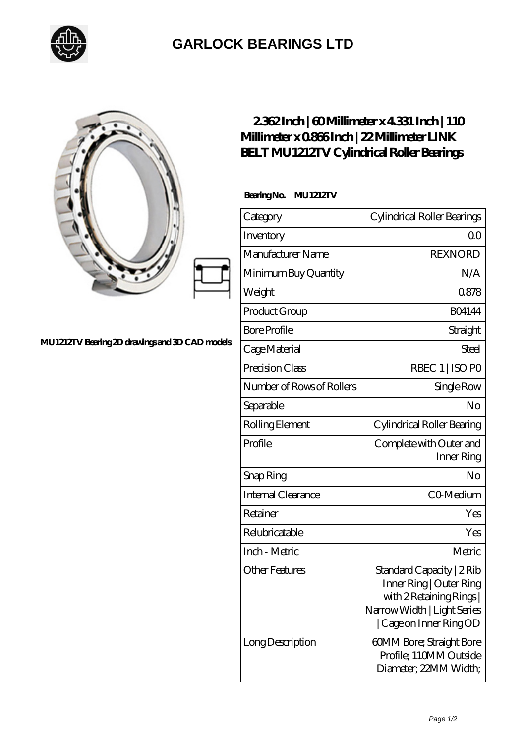

## **[GARLOCK BEARINGS LTD](https://m.letterstopriests.com)**

## **[MU1212TV Bearing 2D drawings and 3D CAD models](https://m.letterstopriests.com/pic-188482.html)**

## **[2.362 Inch | 60 Millimeter x 4.331 Inch | 110](https://m.letterstopriests.com/bz-188482-link-belt-mu1212tv-cylindrical-roller-bearings.html) [Millimeter x 0.866 Inch | 22 Millimeter LINK](https://m.letterstopriests.com/bz-188482-link-belt-mu1212tv-cylindrical-roller-bearings.html) [BELT MU1212TV Cylindrical Roller Bearings](https://m.letterstopriests.com/bz-188482-link-belt-mu1212tv-cylindrical-roller-bearings.html)**

 **Bearing No. MU1212TV**

| Category                  | Cylindrical Roller Bearings                                                                                                            |
|---------------------------|----------------------------------------------------------------------------------------------------------------------------------------|
| Inventory                 | Q0                                                                                                                                     |
| Manufacturer Name         | <b>REXNORD</b>                                                                                                                         |
| Minimum Buy Quantity      | N/A                                                                                                                                    |
| Weight                    | 0878                                                                                                                                   |
| Product Group             | <b>BO4144</b>                                                                                                                          |
| <b>Bore Profile</b>       | Straight                                                                                                                               |
| Cage Material             | Steel                                                                                                                                  |
| Precision Class           | RBEC 1   ISO PO                                                                                                                        |
| Number of Rows of Rollers | Single Row                                                                                                                             |
| Separable                 | No                                                                                                                                     |
| Rolling Element           | Cylindrical Roller Bearing                                                                                                             |
| Profile                   | Complete with Outer and<br>Inner Ring                                                                                                  |
| Snap Ring                 | No                                                                                                                                     |
| <b>Internal Clearance</b> | CO-Medium                                                                                                                              |
| Retainer                  | Yes                                                                                                                                    |
| Relubricatable            | Yes                                                                                                                                    |
| Inch - Metric             | Metric                                                                                                                                 |
| <b>Other Features</b>     | Standard Capacity   2 Rib<br>Inner Ring   Outer Ring<br>with 2 Retaining Rings<br>Narrow Width   Light Series<br>Cage on Inner Ring OD |
| LongDescription           | 60MM Bore; Straight Bore<br>Profile; 110MM Outside<br>Diameter; 22MM Width;                                                            |